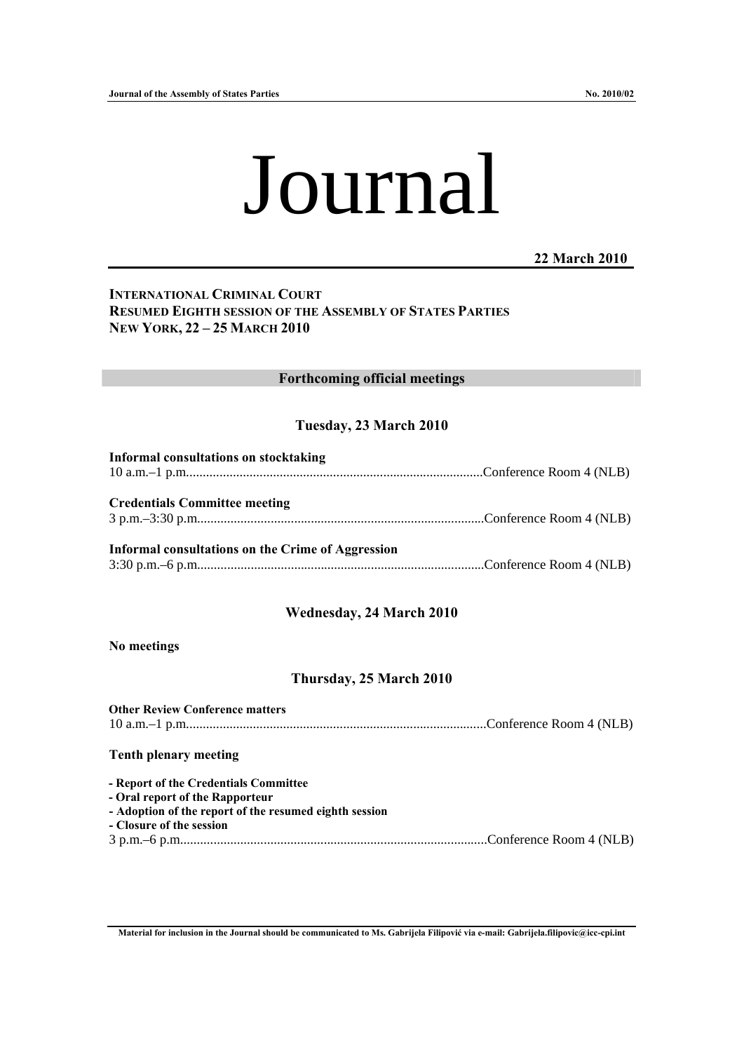# Journal

**22 March 2010** 

# **INTERNATIONAL CRIMINAL COURT RESUMED EIGHTH SESSION OF THE ASSEMBLY OF STATES PARTIES NEW YORK, 22 – 25 MARCH 2010**

#### **Forthcoming official meetings**

# **Tuesday, 23 March 2010**

| <b>Informal consultations on stocktaking</b>      |  |
|---------------------------------------------------|--|
|                                                   |  |
| <b>Credentials Committee meeting</b>              |  |
| Informal consultations on the Crime of Aggression |  |
|                                                   |  |

#### **Wednesday, 24 March 2010**

**No meetings** 

#### **Thursday, 25 March 2010**

| <b>Other Review Conference matters</b>                 |  |
|--------------------------------------------------------|--|
|                                                        |  |
|                                                        |  |
| <b>Tenth plenary meeting</b>                           |  |
|                                                        |  |
| - Report of the Credentials Committee                  |  |
| - Oral report of the Rapporteur                        |  |
| - Adoption of the report of the resumed eighth session |  |
| - Closure of the session                               |  |
|                                                        |  |

**Material for inclusion in the Journal should be communicated to Ms. Gabrijela Filipović via e-mail: Gabrijela.filipovic@icc-cpi.int**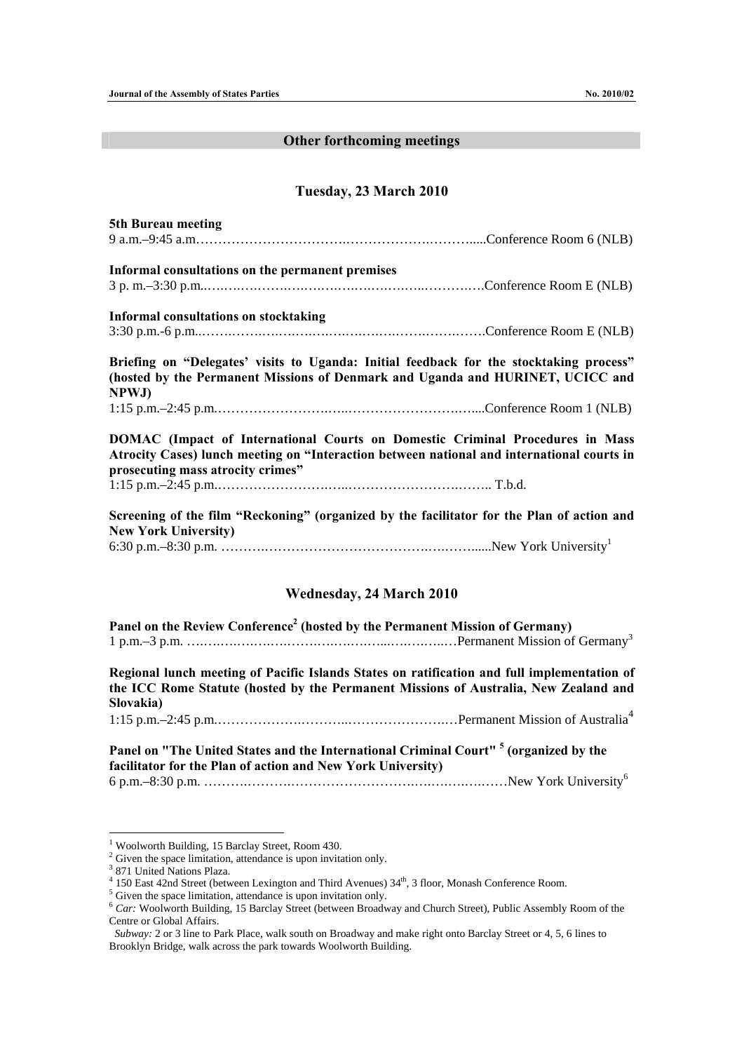## **Other forthcoming meetings**

## **Tuesday, 23 March 2010**

| 5th Bureau meeting                                                                                                                                                                                                                               |
|--------------------------------------------------------------------------------------------------------------------------------------------------------------------------------------------------------------------------------------------------|
|                                                                                                                                                                                                                                                  |
| Informal consultations on the permanent premises                                                                                                                                                                                                 |
|                                                                                                                                                                                                                                                  |
| <b>Informal consultations on stocktaking</b>                                                                                                                                                                                                     |
|                                                                                                                                                                                                                                                  |
| Briefing on "Delegates' visits to Uganda: Initial feedback for the stocktaking process"<br>(hosted by the Permanent Missions of Denmark and Uganda and HURINET, UCICC and<br>NPWJ)                                                               |
|                                                                                                                                                                                                                                                  |
| DOMAC (Impact of International Courts on Domestic Criminal Procedures in Mass<br>Atrocity Cases) lunch meeting on "Interaction between national and international courts in<br>prosecuting mass atrocity crimes"                                 |
|                                                                                                                                                                                                                                                  |
| Screening of the film "Reckoning" (organized by the facilitator for the Plan of action and<br><b>New York University)</b>                                                                                                                        |
|                                                                                                                                                                                                                                                  |
| <b>Wednesday, 24 March 2010</b>                                                                                                                                                                                                                  |
| Panel on the Review Conference <sup>2</sup> (hosted by the Permanent Mission of Germany)                                                                                                                                                         |
| Regional lunch meeting of Pacific Islands States on ratification and full implementation of<br>the ICC Rome Statute (hosted by the Permanent Missions of Australia, New Zealand and<br>Slovakia)                                                 |
|                                                                                                                                                                                                                                                  |
| Panel on "The United States and the International Criminal Court" <sup>5</sup> (organized by the<br>facilitator for the Plan of action and New York University)<br>6 p.m. – 8:30 p.m. ……………………………………………………………………New York University <sup>6</sup> |
|                                                                                                                                                                                                                                                  |

 1 Woolworth Building, 15 Barclay Street, Room 430. 2 Given the space limitation, attendance is upon invitation only.

<sup>3</sup> 871 United Nations Plaza.

<sup>&</sup>lt;sup>4</sup> 150 East 42nd Street (between Lexington and Third Avenues)  $34<sup>th</sup>$ , 3 floor, Monash Conference Room.

 $5\frac{\text{Given the space limitation, attendance is upon invitation only}}{5\frac{\text{Given the space limitation, attendance is upon invitation only}}$ .

<sup>&</sup>lt;sup>6</sup> *Car:* Woolworth Building, 15 Barclay Street (between Broadway and Church Street), Public Assembly Room of the Centre or Global Affairs.

*Subway:* 2 or 3 line to Park Place, walk south on Broadway and make right onto Barclay Street or 4, 5, 6 lines to Brooklyn Bridge, walk across the park towards Woolworth Building.